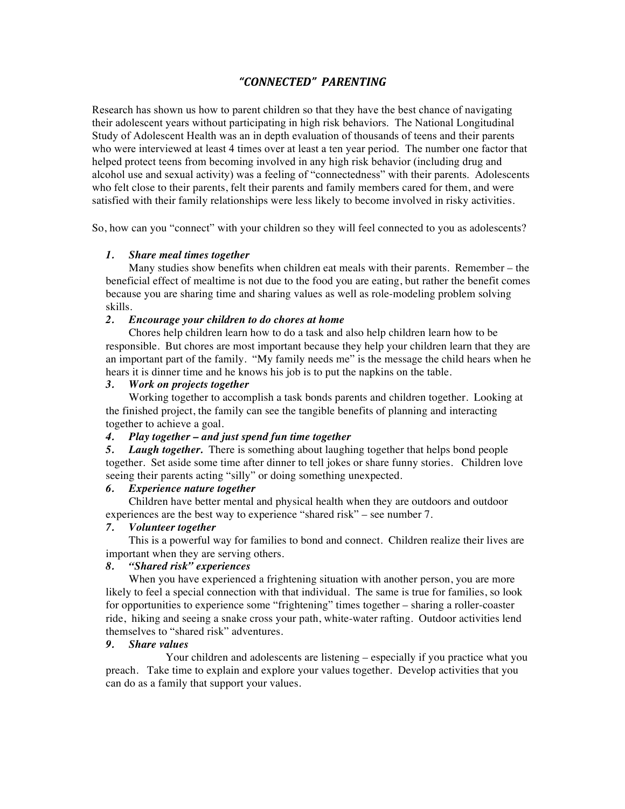# *"CONNECTED" PARENTING*

Research has shown us how to parent children so that they have the best chance of navigating their adolescent years without participating in high risk behaviors. The National Longitudinal Study of Adolescent Health was an in depth evaluation of thousands of teens and their parents who were interviewed at least 4 times over at least a ten year period. The number one factor that helped protect teens from becoming involved in any high risk behavior (including drug and alcohol use and sexual activity) was a feeling of "connectedness" with their parents. Adolescents who felt close to their parents, felt their parents and family members cared for them, and were satisfied with their family relationships were less likely to become involved in risky activities.

So, how can you "connect" with your children so they will feel connected to you as adolescents?

## *1. Share meal times together*

Many studies show benefits when children eat meals with their parents. Remember – the beneficial effect of mealtime is not due to the food you are eating, but rather the benefit comes because you are sharing time and sharing values as well as role-modeling problem solving skills.

## *2. Encourage your children to do chores at home*

Chores help children learn how to do a task and also help children learn how to be responsible. But chores are most important because they help your children learn that they are an important part of the family. "My family needs me" is the message the child hears when he hears it is dinner time and he knows his job is to put the napkins on the table.

## *3. Work on projects together*

Working together to accomplish a task bonds parents and children together. Looking at the finished project, the family can see the tangible benefits of planning and interacting together to achieve a goal.

### *4. Play together – and just spend fun time together*

*5. Laugh together.* There is something about laughing together that helps bond people together. Set aside some time after dinner to tell jokes or share funny stories. Children love seeing their parents acting "silly" or doing something unexpected.

### *6. Experience nature together*

Children have better mental and physical health when they are outdoors and outdoor experiences are the best way to experience "shared risk" – see number 7.

## *7. Volunteer together*

This is a powerful way for families to bond and connect. Children realize their lives are important when they are serving others.

## *8. "Shared risk" experiences*

When you have experienced a frightening situation with another person, you are more likely to feel a special connection with that individual. The same is true for families, so look for opportunities to experience some "frightening" times together – sharing a roller-coaster ride, hiking and seeing a snake cross your path, white-water rafting. Outdoor activities lend themselves to "shared risk" adventures.

### *9. Share values*

Your children and adolescents are listening – especially if you practice what you preach. Take time to explain and explore your values together. Develop activities that you can do as a family that support your values.